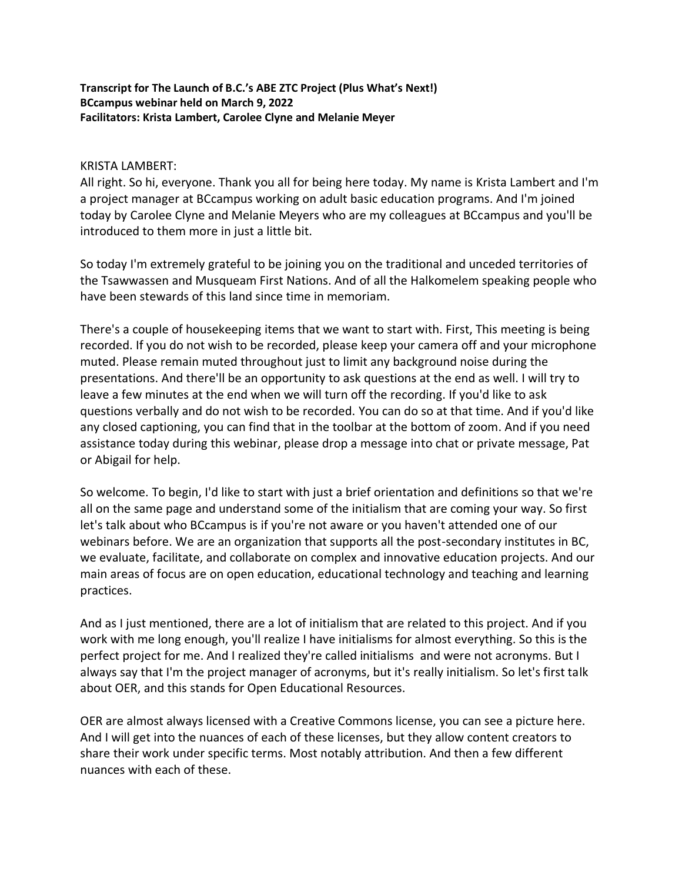## **Transcript for The Launch of B.C.'s ABE ZTC Project (Plus What's Next!) BCcampus webinar held on March 9, 2022 Facilitators: Krista Lambert, Carolee Clyne and Melanie Meyer**

## KRISTA LAMBERT:

All right. So hi, everyone. Thank you all for being here today. My name is Krista Lambert and I'm a project manager at BCcampus working on adult basic education programs. And I'm joined today by Carolee Clyne and Melanie Meyers who are my colleagues at BCcampus and you'll be introduced to them more in just a little bit.

So today I'm extremely grateful to be joining you on the traditional and unceded territories of the Tsawwassen and Musqueam First Nations. And of all the Halkomelem speaking people who have been stewards of this land since time in memoriam.

There's a couple of housekeeping items that we want to start with. First, This meeting is being recorded. If you do not wish to be recorded, please keep your camera off and your microphone muted. Please remain muted throughout just to limit any background noise during the presentations. And there'll be an opportunity to ask questions at the end as well. I will try to leave a few minutes at the end when we will turn off the recording. If you'd like to ask questions verbally and do not wish to be recorded. You can do so at that time. And if you'd like any closed captioning, you can find that in the toolbar at the bottom of zoom. And if you need assistance today during this webinar, please drop a message into chat or private message, Pat or Abigail for help.

So welcome. To begin, I'd like to start with just a brief orientation and definitions so that we're all on the same page and understand some of the initialism that are coming your way. So first let's talk about who BCcampus is if you're not aware or you haven't attended one of our webinars before. We are an organization that supports all the post-secondary institutes in BC, we evaluate, facilitate, and collaborate on complex and innovative education projects. And our main areas of focus are on open education, educational technology and teaching and learning practices.

And as I just mentioned, there are a lot of initialism that are related to this project. And if you work with me long enough, you'll realize I have initialisms for almost everything. So this is the perfect project for me. And I realized they're called initialisms and were not acronyms. But I always say that I'm the project manager of acronyms, but it's really initialism. So let's first talk about OER, and this stands for Open Educational Resources.

OER are almost always licensed with a Creative Commons license, you can see a picture here. And I will get into the nuances of each of these licenses, but they allow content creators to share their work under specific terms. Most notably attribution. And then a few different nuances with each of these.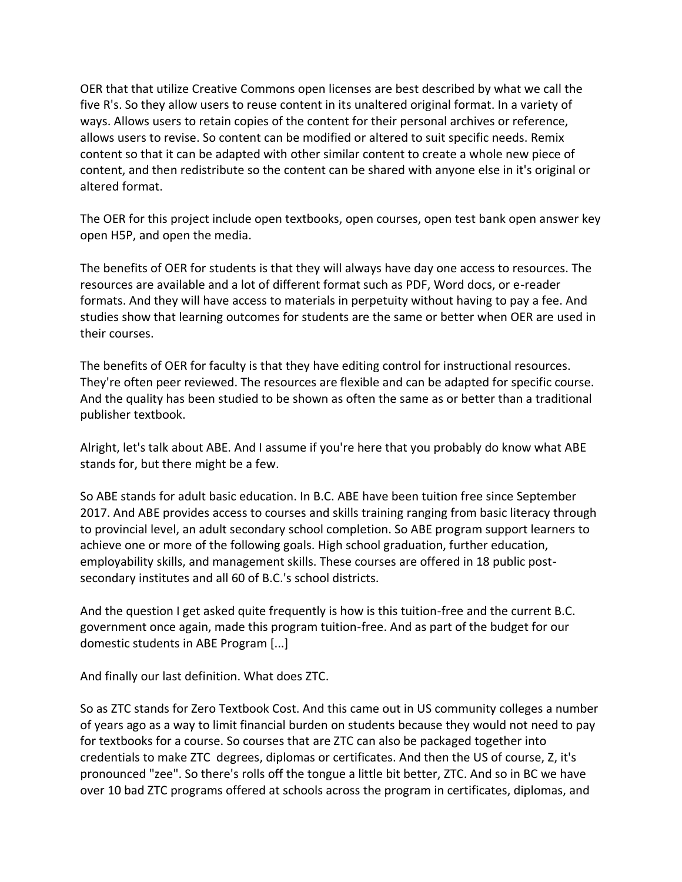OER that that utilize Creative Commons open licenses are best described by what we call the five R's. So they allow users to reuse content in its unaltered original format. In a variety of ways. Allows users to retain copies of the content for their personal archives or reference, allows users to revise. So content can be modified or altered to suit specific needs. Remix content so that it can be adapted with other similar content to create a whole new piece of content, and then redistribute so the content can be shared with anyone else in it's original or altered format.

The OER for this project include open textbooks, open courses, open test bank open answer key open H5P, and open the media.

The benefits of OER for students is that they will always have day one access to resources. The resources are available and a lot of different format such as PDF, Word docs, or e-reader formats. And they will have access to materials in perpetuity without having to pay a fee. And studies show that learning outcomes for students are the same or better when OER are used in their courses.

The benefits of OER for faculty is that they have editing control for instructional resources. They're often peer reviewed. The resources are flexible and can be adapted for specific course. And the quality has been studied to be shown as often the same as or better than a traditional publisher textbook.

Alright, let's talk about ABE. And I assume if you're here that you probably do know what ABE stands for, but there might be a few.

So ABE stands for adult basic education. In B.C. ABE have been tuition free since September 2017. And ABE provides access to courses and skills training ranging from basic literacy through to provincial level, an adult secondary school completion. So ABE program support learners to achieve one or more of the following goals. High school graduation, further education, employability skills, and management skills. These courses are offered in 18 public postsecondary institutes and all 60 of B.C.'s school districts.

And the question I get asked quite frequently is how is this tuition-free and the current B.C. government once again, made this program tuition-free. And as part of the budget for our domestic students in ABE Program [...]

And finally our last definition. What does ZTC.

So as ZTC stands for Zero Textbook Cost. And this came out in US community colleges a number of years ago as a way to limit financial burden on students because they would not need to pay for textbooks for a course. So courses that are ZTC can also be packaged together into credentials to make ZTC degrees, diplomas or certificates. And then the US of course, Z, it's pronounced "zee". So there's rolls off the tongue a little bit better, ZTC. And so in BC we have over 10 bad ZTC programs offered at schools across the program in certificates, diplomas, and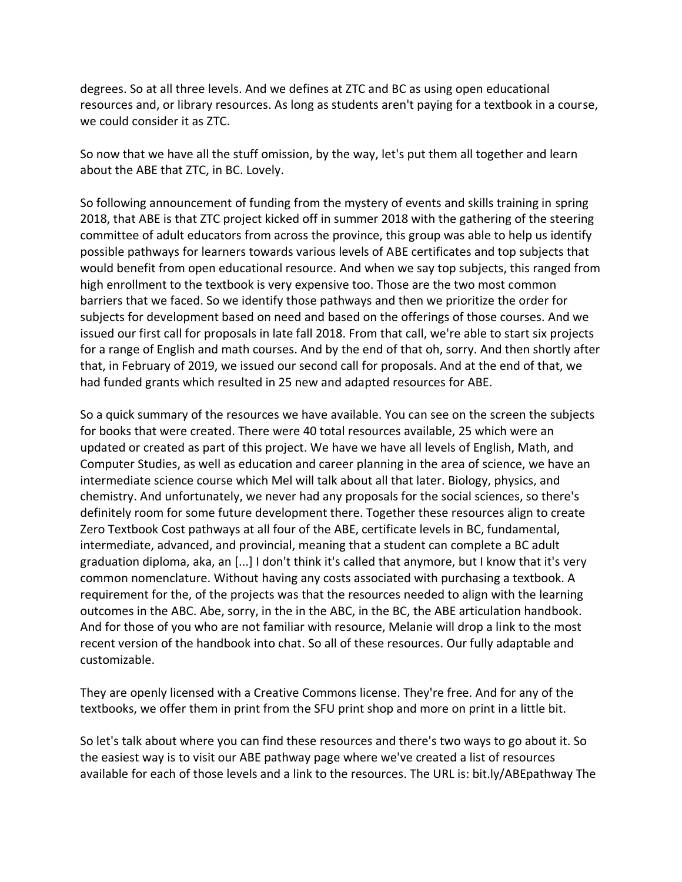degrees. So at all three levels. And we defines at ZTC and BC as using open educational resources and, or library resources. As long as students aren't paying for a textbook in a course, we could consider it as ZTC.

So now that we have all the stuff omission, by the way, let's put them all together and learn about the ABE that ZTC, in BC. Lovely.

So following announcement of funding from the mystery of events and skills training in spring 2018, that ABE is that ZTC project kicked off in summer 2018 with the gathering of the steering committee of adult educators from across the province, this group was able to help us identify possible pathways for learners towards various levels of ABE certificates and top subjects that would benefit from open educational resource. And when we say top subjects, this ranged from high enrollment to the textbook is very expensive too. Those are the two most common barriers that we faced. So we identify those pathways and then we prioritize the order for subjects for development based on need and based on the offerings of those courses. And we issued our first call for proposals in late fall 2018. From that call, we're able to start six projects for a range of English and math courses. And by the end of that oh, sorry. And then shortly after that, in February of 2019, we issued our second call for proposals. And at the end of that, we had funded grants which resulted in 25 new and adapted resources for ABE.

So a quick summary of the resources we have available. You can see on the screen the subjects for books that were created. There were 40 total resources available, 25 which were an updated or created as part of this project. We have we have all levels of English, Math, and Computer Studies, as well as education and career planning in the area of science, we have an intermediate science course which Mel will talk about all that later. Biology, physics, and chemistry. And unfortunately, we never had any proposals for the social sciences, so there's definitely room for some future development there. Together these resources align to create Zero Textbook Cost pathways at all four of the ABE, certificate levels in BC, fundamental, intermediate, advanced, and provincial, meaning that a student can complete a BC adult graduation diploma, aka, an [...] I don't think it's called that anymore, but I know that it's very common nomenclature. Without having any costs associated with purchasing a textbook. A requirement for the, of the projects was that the resources needed to align with the learning outcomes in the ABC. Abe, sorry, in the in the ABC, in the BC, the ABE articulation handbook. And for those of you who are not familiar with resource, Melanie will drop a link to the most recent version of the handbook into chat. So all of these resources. Our fully adaptable and customizable.

They are openly licensed with a Creative Commons license. They're free. And for any of the textbooks, we offer them in print from the SFU print shop and more on print in a little bit.

So let's talk about where you can find these resources and there's two ways to go about it. So the easiest way is to visit our ABE pathway page where we've created a list of resources available for each of those levels and a link to the resources. The URL is: bit.ly/ABEpathway The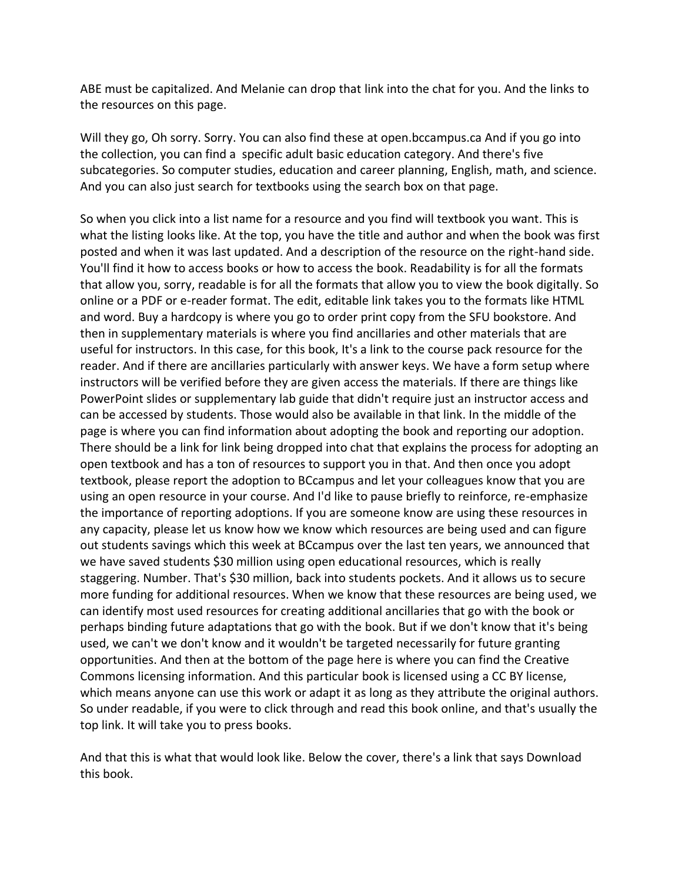ABE must be capitalized. And Melanie can drop that link into the chat for you. And the links to the resources on this page.

Will they go, Oh sorry. Sorry. You can also find these at open.bccampus.ca And if you go into the collection, you can find a specific adult basic education category. And there's five subcategories. So computer studies, education and career planning, English, math, and science. And you can also just search for textbooks using the search box on that page.

So when you click into a list name for a resource and you find will textbook you want. This is what the listing looks like. At the top, you have the title and author and when the book was first posted and when it was last updated. And a description of the resource on the right-hand side. You'll find it how to access books or how to access the book. Readability is for all the formats that allow you, sorry, readable is for all the formats that allow you to view the book digitally. So online or a PDF or e-reader format. The edit, editable link takes you to the formats like HTML and word. Buy a hardcopy is where you go to order print copy from the SFU bookstore. And then in supplementary materials is where you find ancillaries and other materials that are useful for instructors. In this case, for this book, It's a link to the course pack resource for the reader. And if there are ancillaries particularly with answer keys. We have a form setup where instructors will be verified before they are given access the materials. If there are things like PowerPoint slides or supplementary lab guide that didn't require just an instructor access and can be accessed by students. Those would also be available in that link. In the middle of the page is where you can find information about adopting the book and reporting our adoption. There should be a link for link being dropped into chat that explains the process for adopting an open textbook and has a ton of resources to support you in that. And then once you adopt textbook, please report the adoption to BCcampus and let your colleagues know that you are using an open resource in your course. And I'd like to pause briefly to reinforce, re-emphasize the importance of reporting adoptions. If you are someone know are using these resources in any capacity, please let us know how we know which resources are being used and can figure out students savings which this week at BCcampus over the last ten years, we announced that we have saved students \$30 million using open educational resources, which is really staggering. Number. That's \$30 million, back into students pockets. And it allows us to secure more funding for additional resources. When we know that these resources are being used, we can identify most used resources for creating additional ancillaries that go with the book or perhaps binding future adaptations that go with the book. But if we don't know that it's being used, we can't we don't know and it wouldn't be targeted necessarily for future granting opportunities. And then at the bottom of the page here is where you can find the Creative Commons licensing information. And this particular book is licensed using a CC BY license, which means anyone can use this work or adapt it as long as they attribute the original authors. So under readable, if you were to click through and read this book online, and that's usually the top link. It will take you to press books.

And that this is what that would look like. Below the cover, there's a link that says Download this book.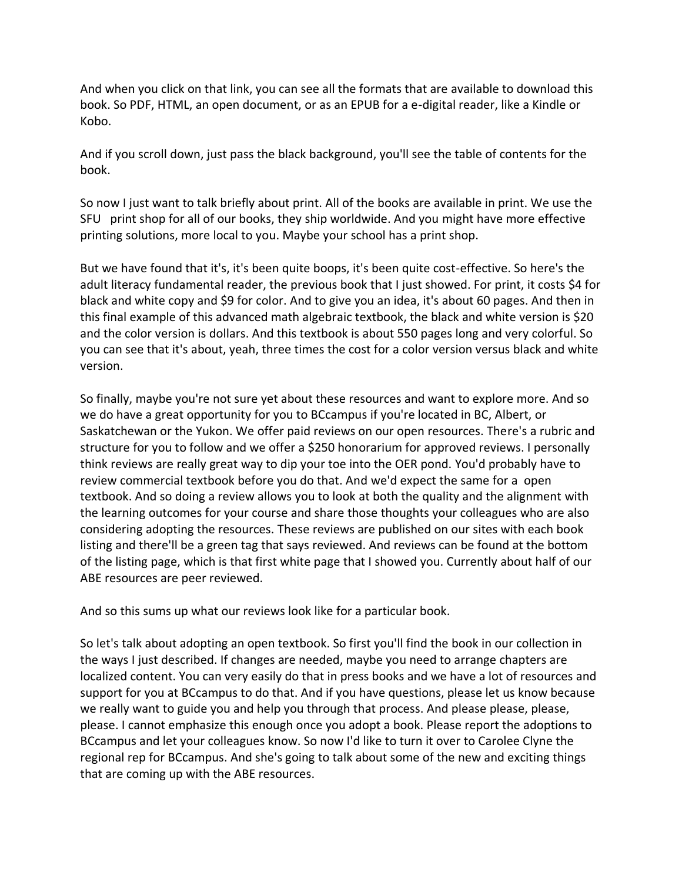And when you click on that link, you can see all the formats that are available to download this book. So PDF, HTML, an open document, or as an EPUB for a e-digital reader, like a Kindle or Kobo.

And if you scroll down, just pass the black background, you'll see the table of contents for the book.

So now I just want to talk briefly about print. All of the books are available in print. We use the SFU print shop for all of our books, they ship worldwide. And you might have more effective printing solutions, more local to you. Maybe your school has a print shop.

But we have found that it's, it's been quite boops, it's been quite cost-effective. So here's the adult literacy fundamental reader, the previous book that I just showed. For print, it costs \$4 for black and white copy and \$9 for color. And to give you an idea, it's about 60 pages. And then in this final example of this advanced math algebraic textbook, the black and white version is \$20 and the color version is dollars. And this textbook is about 550 pages long and very colorful. So you can see that it's about, yeah, three times the cost for a color version versus black and white version.

So finally, maybe you're not sure yet about these resources and want to explore more. And so we do have a great opportunity for you to BCcampus if you're located in BC, Albert, or Saskatchewan or the Yukon. We offer paid reviews on our open resources. There's a rubric and structure for you to follow and we offer a \$250 honorarium for approved reviews. I personally think reviews are really great way to dip your toe into the OER pond. You'd probably have to review commercial textbook before you do that. And we'd expect the same for a open textbook. And so doing a review allows you to look at both the quality and the alignment with the learning outcomes for your course and share those thoughts your colleagues who are also considering adopting the resources. These reviews are published on our sites with each book listing and there'll be a green tag that says reviewed. And reviews can be found at the bottom of the listing page, which is that first white page that I showed you. Currently about half of our ABE resources are peer reviewed.

And so this sums up what our reviews look like for a particular book.

So let's talk about adopting an open textbook. So first you'll find the book in our collection in the ways I just described. If changes are needed, maybe you need to arrange chapters are localized content. You can very easily do that in press books and we have a lot of resources and support for you at BCcampus to do that. And if you have questions, please let us know because we really want to guide you and help you through that process. And please please, please, please. I cannot emphasize this enough once you adopt a book. Please report the adoptions to BCcampus and let your colleagues know. So now I'd like to turn it over to Carolee Clyne the regional rep for BCcampus. And she's going to talk about some of the new and exciting things that are coming up with the ABE resources.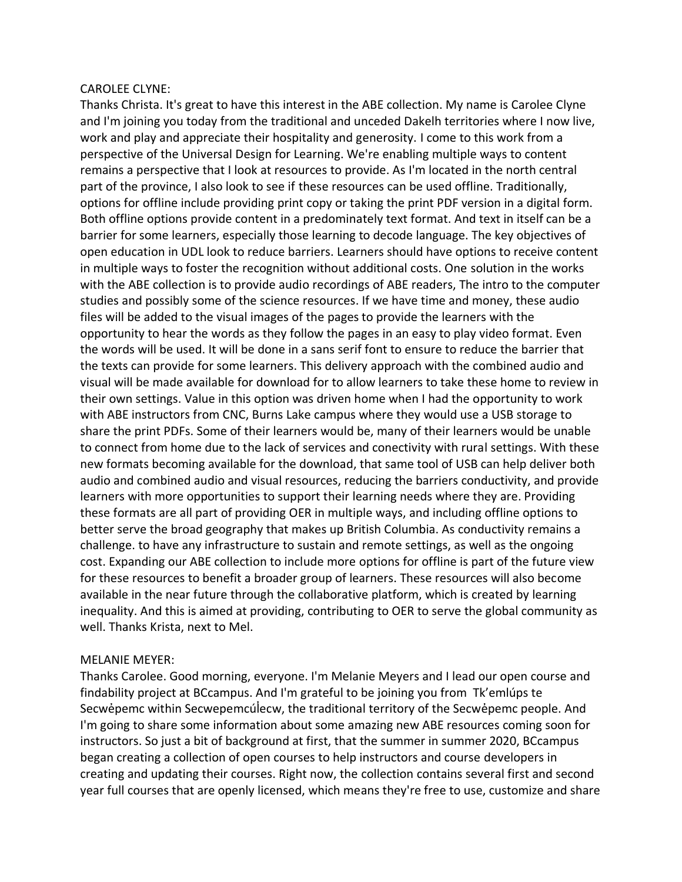#### CAROLEE CLYNE:

Thanks Christa. It's great to have this interest in the ABE collection. My name is Carolee Clyne and I'm joining you today from the traditional and unceded Dakelh territories where I now live, work and play and appreciate their hospitality and generosity. I come to this work from a perspective of the Universal Design for Learning. We're enabling multiple ways to content remains a perspective that I look at resources to provide. As I'm located in the north central part of the province, I also look to see if these resources can be used offline. Traditionally, options for offline include providing print copy or taking the print PDF version in a digital form. Both offline options provide content in a predominately text format. And text in itself can be a barrier for some learners, especially those learning to decode language. The key objectives of open education in UDL look to reduce barriers. Learners should have options to receive content in multiple ways to foster the recognition without additional costs. One solution in the works with the ABE collection is to provide audio recordings of ABE readers, The intro to the computer studies and possibly some of the science resources. If we have time and money, these audio files will be added to the visual images of the pages to provide the learners with the opportunity to hear the words as they follow the pages in an easy to play video format. Even the words will be used. It will be done in a sans serif font to ensure to reduce the barrier that the texts can provide for some learners. This delivery approach with the combined audio and visual will be made available for download for to allow learners to take these home to review in their own settings. Value in this option was driven home when I had the opportunity to work with ABE instructors from CNC, Burns Lake campus where they would use a USB storage to share the print PDFs. Some of their learners would be, many of their learners would be unable to connect from home due to the lack of services and conectivity with rural settings. With these new formats becoming available for the download, that same tool of USB can help deliver both audio and combined audio and visual resources, reducing the barriers conductivity, and provide learners with more opportunities to support their learning needs where they are. Providing these formats are all part of providing OER in multiple ways, and including offline options to better serve the broad geography that makes up British Columbia. As conductivity remains a challenge. to have any infrastructure to sustain and remote settings, as well as the ongoing cost. Expanding our ABE collection to include more options for offline is part of the future view for these resources to benefit a broader group of learners. These resources will also become available in the near future through the collaborative platform, which is created by learning inequality. And this is aimed at providing, contributing to OER to serve the global community as well. Thanks Krista, next to Mel.

# MELANIE MEYER:

Thanks Carolee. Good morning, everyone. I'm Melanie Meyers and I lead our open course and findability project at BCcampus. And I'm grateful to be joining you from Tk'emlúps te Secwé pemc within Secwe pemcúlecw, the traditional territory of the Secwé pemc people. And I'm going to share some information about some amazing new ABE resources coming soon for instructors. So just a bit of background at first, that the summer in summer 2020, BCcampus began creating a collection of open courses to help instructors and course developers in creating and updating their courses. Right now, the collection contains several first and second year full courses that are openly licensed, which means they're free to use, customize and share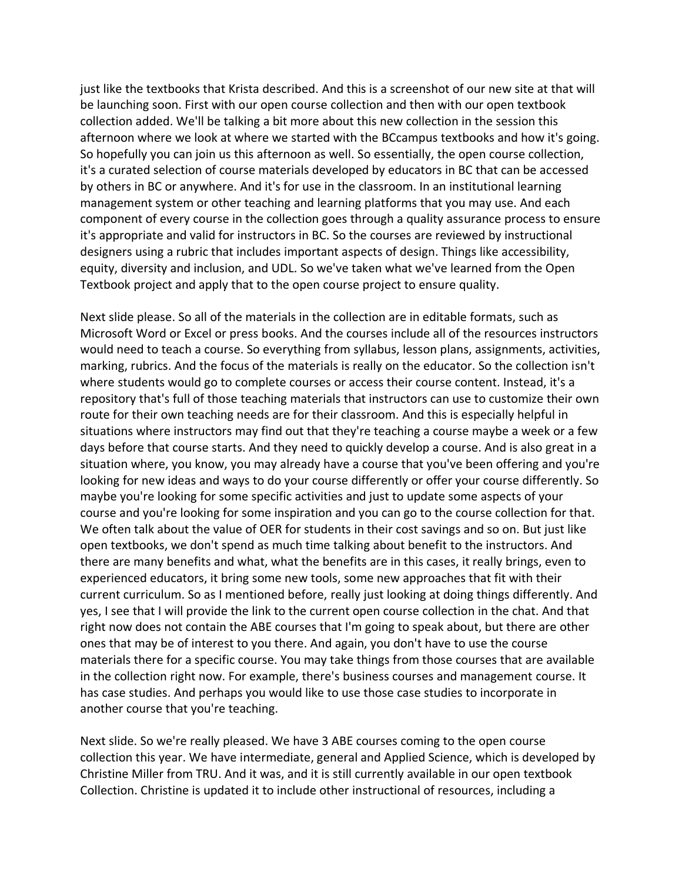just like the textbooks that Krista described. And this is a screenshot of our new site at that will be launching soon. First with our open course collection and then with our open textbook collection added. We'll be talking a bit more about this new collection in the session this afternoon where we look at where we started with the BCcampus textbooks and how it's going. So hopefully you can join us this afternoon as well. So essentially, the open course collection, it's a curated selection of course materials developed by educators in BC that can be accessed by others in BC or anywhere. And it's for use in the classroom. In an institutional learning management system or other teaching and learning platforms that you may use. And each component of every course in the collection goes through a quality assurance process to ensure it's appropriate and valid for instructors in BC. So the courses are reviewed by instructional designers using a rubric that includes important aspects of design. Things like accessibility, equity, diversity and inclusion, and UDL. So we've taken what we've learned from the Open Textbook project and apply that to the open course project to ensure quality.

Next slide please. So all of the materials in the collection are in editable formats, such as Microsoft Word or Excel or press books. And the courses include all of the resources instructors would need to teach a course. So everything from syllabus, lesson plans, assignments, activities, marking, rubrics. And the focus of the materials is really on the educator. So the collection isn't where students would go to complete courses or access their course content. Instead, it's a repository that's full of those teaching materials that instructors can use to customize their own route for their own teaching needs are for their classroom. And this is especially helpful in situations where instructors may find out that they're teaching a course maybe a week or a few days before that course starts. And they need to quickly develop a course. And is also great in a situation where, you know, you may already have a course that you've been offering and you're looking for new ideas and ways to do your course differently or offer your course differently. So maybe you're looking for some specific activities and just to update some aspects of your course and you're looking for some inspiration and you can go to the course collection for that. We often talk about the value of OER for students in their cost savings and so on. But just like open textbooks, we don't spend as much time talking about benefit to the instructors. And there are many benefits and what, what the benefits are in this cases, it really brings, even to experienced educators, it bring some new tools, some new approaches that fit with their current curriculum. So as I mentioned before, really just looking at doing things differently. And yes, I see that I will provide the link to the current open course collection in the chat. And that right now does not contain the ABE courses that I'm going to speak about, but there are other ones that may be of interest to you there. And again, you don't have to use the course materials there for a specific course. You may take things from those courses that are available in the collection right now. For example, there's business courses and management course. It has case studies. And perhaps you would like to use those case studies to incorporate in another course that you're teaching.

Next slide. So we're really pleased. We have 3 ABE courses coming to the open course collection this year. We have intermediate, general and Applied Science, which is developed by Christine Miller from TRU. And it was, and it is still currently available in our open textbook Collection. Christine is updated it to include other instructional of resources, including a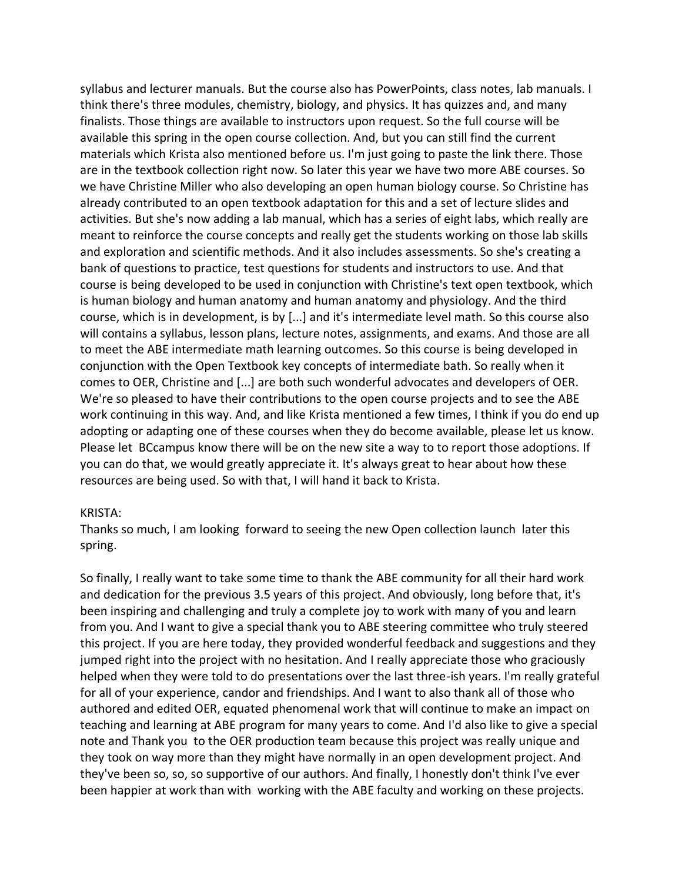syllabus and lecturer manuals. But the course also has PowerPoints, class notes, lab manuals. I think there's three modules, chemistry, biology, and physics. It has quizzes and, and many finalists. Those things are available to instructors upon request. So the full course will be available this spring in the open course collection. And, but you can still find the current materials which Krista also mentioned before us. I'm just going to paste the link there. Those are in the textbook collection right now. So later this year we have two more ABE courses. So we have Christine Miller who also developing an open human biology course. So Christine has already contributed to an open textbook adaptation for this and a set of lecture slides and activities. But she's now adding a lab manual, which has a series of eight labs, which really are meant to reinforce the course concepts and really get the students working on those lab skills and exploration and scientific methods. And it also includes assessments. So she's creating a bank of questions to practice, test questions for students and instructors to use. And that course is being developed to be used in conjunction with Christine's text open textbook, which is human biology and human anatomy and human anatomy and physiology. And the third course, which is in development, is by [...] and it's intermediate level math. So this course also will contains a syllabus, lesson plans, lecture notes, assignments, and exams. And those are all to meet the ABE intermediate math learning outcomes. So this course is being developed in conjunction with the Open Textbook key concepts of intermediate bath. So really when it comes to OER, Christine and [...] are both such wonderful advocates and developers of OER. We're so pleased to have their contributions to the open course projects and to see the ABE work continuing in this way. And, and like Krista mentioned a few times, I think if you do end up adopting or adapting one of these courses when they do become available, please let us know. Please let BCcampus know there will be on the new site a way to to report those adoptions. If you can do that, we would greatly appreciate it. It's always great to hear about how these resources are being used. So with that, I will hand it back to Krista.

#### KRISTA:

Thanks so much, I am looking forward to seeing the new Open collection launch later this spring.

So finally, I really want to take some time to thank the ABE community for all their hard work and dedication for the previous 3.5 years of this project. And obviously, long before that, it's been inspiring and challenging and truly a complete joy to work with many of you and learn from you. And I want to give a special thank you to ABE steering committee who truly steered this project. If you are here today, they provided wonderful feedback and suggestions and they jumped right into the project with no hesitation. And I really appreciate those who graciously helped when they were told to do presentations over the last three-ish years. I'm really grateful for all of your experience, candor and friendships. And I want to also thank all of those who authored and edited OER, equated phenomenal work that will continue to make an impact on teaching and learning at ABE program for many years to come. And I'd also like to give a special note and Thank you to the OER production team because this project was really unique and they took on way more than they might have normally in an open development project. And they've been so, so, so supportive of our authors. And finally, I honestly don't think I've ever been happier at work than with working with the ABE faculty and working on these projects.